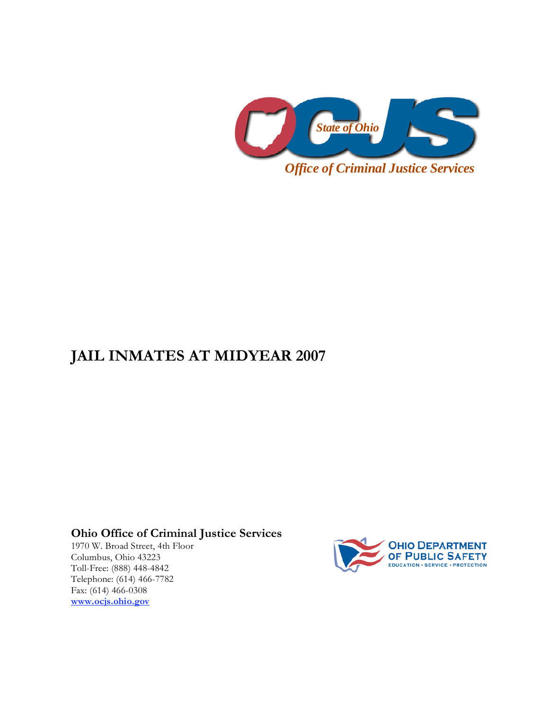

## **JAIL INMATES AT MIDYEAR 2007**

**Ohio Office of Criminal Justice Services** 

1970 W. Broad Street, 4th Floor Columbus, Ohio 43223 Toll-Free: (888) 448-4842 Telephone: (614) 466-7782 Fax: (614) 466-0308 **www.ocjs.ohio.gov**

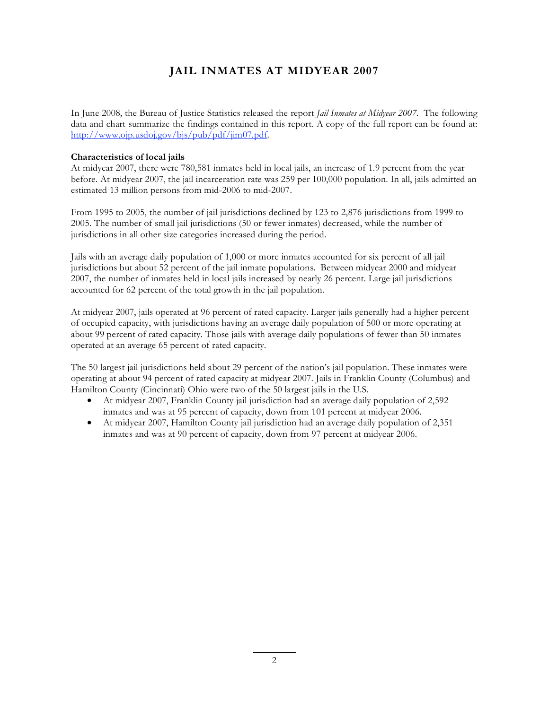## **JAIL INMATES AT MIDYEAR 2007**

In June 2008, the Bureau of Justice Statistics released the report *Jail Inmates at Midyear 2007*. The following data and chart summarize the findings contained in this report. A copy of the full report can be found at: http://www.ojp.usdoj.gov/bjs/pub/pdf/jim07.pdf.

## **Characteristics of local jails**

At midyear 2007, there were 780,581 inmates held in local jails, an increase of 1.9 percent from the year before. At midyear 2007, the jail incarceration rate was 259 per 100,000 population. In all, jails admitted an estimated 13 million persons from mid-2006 to mid-2007.

From 1995 to 2005, the number of jail jurisdictions declined by 123 to 2,876 jurisdictions from 1999 to 2005. The number of small jail jurisdictions (50 or fewer inmates) decreased, while the number of jurisdictions in all other size categories increased during the period.

Jails with an average daily population of 1,000 or more inmates accounted for six percent of all jail jurisdictions but about 52 percent of the jail inmate populations. Between midyear 2000 and midyear 2007, the number of inmates held in local jails increased by nearly 26 percent. Large jail jurisdictions accounted for 62 percent of the total growth in the jail population.

At midyear 2007, jails operated at 96 percent of rated capacity. Larger jails generally had a higher percent of occupied capacity, with jurisdictions having an average daily population of 500 or more operating at about 99 percent of rated capacity. Those jails with average daily populations of fewer than 50 inmates operated at an average 65 percent of rated capacity.

The 50 largest jail jurisdictions held about 29 percent of the nation's jail population. These inmates were operating at about 94 percent of rated capacity at midyear 2007. Jails in Franklin County (Columbus) and Hamilton County (Cincinnati) Ohio were two of the 50 largest jails in the U.S.

- At midyear 2007, Franklin County jail jurisdiction had an average daily population of 2,592 inmates and was at 95 percent of capacity, down from 101 percent at midyear 2006.
- At midyear 2007, Hamilton County jail jurisdiction had an average daily population of 2,351 inmates and was at 90 percent of capacity, down from 97 percent at midyear 2006.